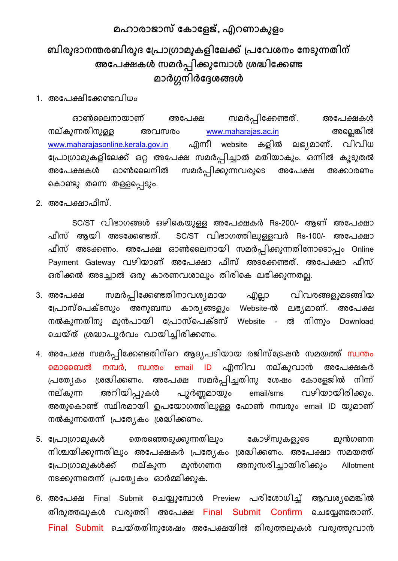## **മഹഺരഺജഺസ് ക ഺകളജ്, എറണഺ ുളം**

# <mark>ബിരുദാനന്തരബിരുദ പ്രോഗ്രാമുകളിലേക്ക് പ്രവേശനം നേടുന്നതിന്</mark> **അകരക്ഷ ൾ സമർപ്പ഻ക്കുകപഺൾ ്ശദ്ധ഻കക്കണ്ട മഺർഗ്ഗന഻ർകേശങ്ങൾ**

1. അപേക്ഷിപേണ്ടവിധം

ഓൺലലനായാണ് അപേക്ഷ സമർപ്പിപേണ്ടത്. അപേക്ഷകൾ നല്കുന്നതിനുള്ള അവസരം www.maharajas.ac.in അല്ലെങ്കിൽ [www.maharajasonline.kerala.gov.in](http://www.maharajasonline.kerala.gov.in/) എന്നീ website കളിൽ ലഭ്യമാണ്. വിവിധ പോരാമുകളിപലേ് ഒറ്റ അപേക്ഷ സമർപ്പിച്ചാൽ മതിയാകും. ഒന്നിൽ കൂടുതൽ അപേക്ഷകൾ ഓൺലൈനിൽ സമർപ്പിക്കുന്നവരുടെ അപേക്ഷ അക്കാരണം ല്കാണ്ടു തല്ന്ന തള്ളല്പ്പടും.

2. അപേക്ഷാഫീസ്.

SC/ST വിഭാരങ്ങൾ ഒഴില്കയുള്ള അപേക്ഷകർ Rs-200/- ആണ് അപേക്ഷാ ഫീസ് ആയി അടപേണ്ടത്. SC/ST വിഭാരത്തിലുള്ളവർ Rs-100/- അപേക്ഷാ ഫീസ് അടക്കണം. അപേക്ഷ ഓൺലൈനായി സമർപ്പിക്കുന്നതിനോടൊപ്പം Online Payment Gateway വഴിയാണ് അപേക്ഷാ ഫീസ് അടപേണ്ടത്. അപേക്ഷാ ഫീസ് ഒരിക്കൽ അടച്ചാൽ ഒരു കാരണവശാലും തിരികെ ലഭിക്കുന്നതല്ല.

- 3. അപേക്ഷ സമർപ്പിക്കേണ്ടതിനാവശ്യമായ എല്ലാ വിവരങ്ങളുമടങ്ങ<del>ി</del>യ പ്രോസ്പെക്ടസും അനുബന്ധ കാര്യങ്ങളും Website-ൽ ലഭ്യമാണ്. അപേക്ഷ നൽകുന്നതിനു മുൻപായി പ്രോസ്പെക്ടസ് Website - ൽ നിന്നും Download ല്െയ്തത് ശദ്ധാേൂർവം വായിച്ചിരിേണം.
- 4. അപേക്ഷ സമർപ്പിക്കേണ്ടതിന്റെ ആദ്യപടിയായ രജിസ്ട്രേഷൻ സമയത്ത് സ്വന്തം ല്മാലബൽ നമ്പർ, സവന്തം email ID എന്നിവ നല്കുവാൻ അപേക്ഷകർ പ്രത്യേകം ശ്രദ്ധിക്കണം. അപേക്ഷ സമർപ്പിച്ചതിനു ശേഷം കോളേജിൽ നിന്ന് നല്കുന്ന അറിയിപ്പുകൾ പൂർണ്ണമായും email/sms വഴിയായിരിക്കും. അതുകൊണ്ട് സ്ഥിരമായി ഉപയോഗത്തിലുള്ള ഫോൺ നമ്പരും email ID യുമാണ് നൽകുന്നതെന്ന് പ്രത്യേകം ശ്രദ്ധിക്കണം.
- 5. പ്രോഗ്രാമുകൾ തെരഞ്ഞെടുക്കുന്നതിലും കോഴ്സുകളുടെ മുൻഗണന നിശ്ചയിക്കുന്നതിലും അപേക്ഷകർ പ്രത്യേകം ശ്രദ്ധിക്കണം. അപേക്ഷാ സമയത്ത് പോരാമുകൾേ് നല്കുന്ന മുൻരണന അനുസരിച്ചായിരിേും Allotment നടക്കുന്നതെന്ന് പ്രത്യേകം ഓർമ്മിക്കുക.
- 6. അപേക്ഷ Final Submit ചെയ്യുമ്പോൾ Preview പരിശോധിച്ച് ആവശ്യമെങ്കിൽ തിരുത്തലുകൾ വരുത്തി അപേക്ഷ Final Submit Confirm ചെയ്യേണ്ടതാണ്. Final Submit ചെയ്തതിനുശേഷം അപേക്ഷയിൽ തിരുത്തലുകൾ വരുത്തുവാൻ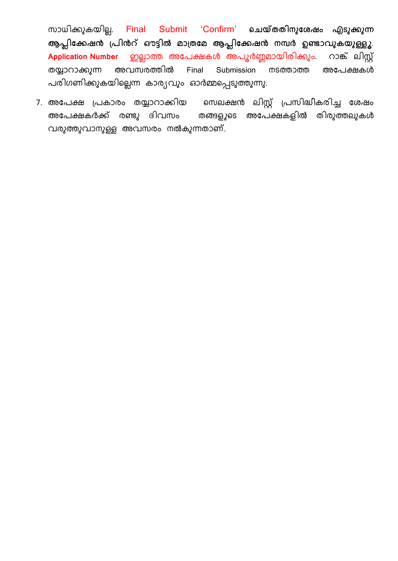സാധിേുകയില. െ Final Submit 'Confirm' **ചെയ്തത഻നുകശഷം എടുക്കുന്ന ആപ്ല഻കക്കഷൻ ്ര഻ൻറ് ഔട്ട഻ൽ മഺ്തകമ ആപ്ല഻കക്കഷൻ നപർ ഉണ്ടഺേു യുള്ളൂ**. **Application Number** ൊത്ത അപേക്ഷകൾ അേൂർണ്ണമായിരിേും. റാങ്ക് ലിസ്റ്റ് തയ്യാറാേുന്ന അവസരത്തിൽ Final Submission നടത്താത്ത അപേക്ഷകൾ പരിഗണിക്കുകയില്ലെന്ന കാര്യവും ഓർമ്മപ്പെടുത്തുന്നു.

7. അപേക്ഷ പ്രകാരം തയ്യാറാക്കിയ സെലക്ഷൻ ലിസ്റ്റ് പ്രസിദ്ധീകരിച്ച ശേഷം അപേക്ഷകർേ് രണ്ടു ദ്ിവസം തങ്ങളുല്ട അപേക്ഷകളിൽ തിരുത്തലുകൾ വരുത്തുവാനുള്ള അവസരം നൽകുന്നതാണ്.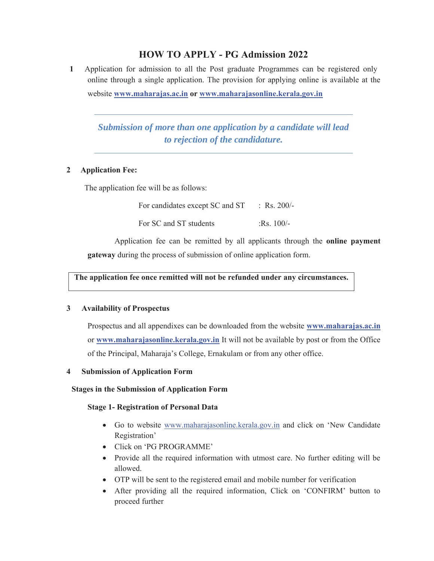## **HOW TO APPLY - PG Admission 2022**

**1** Application for admission to all the Post graduate Programmes can be registered only online through a single application. The provision for applying online is available at the website **www.maharajas.ac.in or www.maharajasonline.kerala.gov.in**

*Submission of more than one application by a candidate will lead to rejection of the candidature.* 

### **2 Application Fee:**

The application fee will be as follows:

For candidates except SC and ST : Rs. 200/-For SC and ST students :Rs. 100/-

Application fee can be remitted by all applicants through the **online payment gateway** during the process of submission of online application form.

**The application fee once remitted will not be refunded under any circumstances.** 

#### **3 Availability of Prospectus**

Prospectus and all appendixes can be downloaded from the website **www.maharajas.ac.in** or **www.maharajasonline.kerala.gov.in** It will not be available by post or from the Office of the Principal, Maharaja's College, Ernakulam or from any other office.

#### **4 Submission of Application Form**

## **Stages in the Submission of Application Form**

### **Stage 1- Registration of Personal Data**

- Go to website www.maharajasonline.kerala.gov.in and click on 'New Candidate' Registration'
- Click on 'PG PROGRAMME'
- Provide all the required information with utmost care. No further editing will be allowed.
- OTP will be sent to the registered email and mobile number for verification
- After providing all the required information, Click on 'CONFIRM' button to proceed further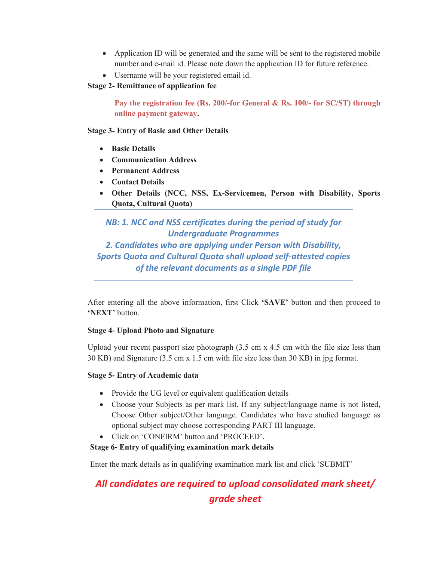- Application ID will be generated and the same will be sent to the registered mobile number and e-mail id. Please note down the application ID for future reference.
- Username will be your registered email id.

## **Stage 2- Remittance of application fee**

**Pay the registration fee (Rs. 200/-for General & Rs. 100/- for SC/ST) through online payment gateway.** 

**Stage 3- Entry of Basic and Other Details** 

- **•** Basic Details
- x **Communication Address**
- **•** Permanent Address
- x **Contact Details**
- x **Other Details (NCC, NSS, Ex-Servicemen, Person with Disability, Sports Quota, Cultural Quota)**

*NB: 1. NCC and NSS certificates during the period of study for Undergraduate Programmes 2. Candidates who are applying under Person with Disability, Sports Quota and Cultural Quota shall upload self-attested copies of the relevant documents as a single PDF file* 

After entering all the above information, first Click **'SAVE'** button and then proceed to **'NEXT'** button.

## **Stage 4- Upload Photo and Signature**

Upload your recent passport size photograph  $(3.5 \text{ cm} \times 4.5 \text{ cm})$  with the file size less than 30 KB) and Signature (3.5 cm x 1.5 cm with file size less than 30 KB) in jpg format.

## **Stage 5- Entry of Academic data**

- Provide the UG level or equivalent qualification details
- Choose your Subjects as per mark list. If any subject/language name is not listed, Choose Other subject/Other language. Candidates who have studied language as optional subject may choose corresponding PART III language.
- Click on 'CONFIRM' button and 'PROCEED'.

## **Stage 6- Entry of qualifying examination mark details**

Enter the mark details as in qualifying examination mark list and click 'SUBMIT'

# *All candidates are required to upload consolidated mark sheet/ grade sheet*